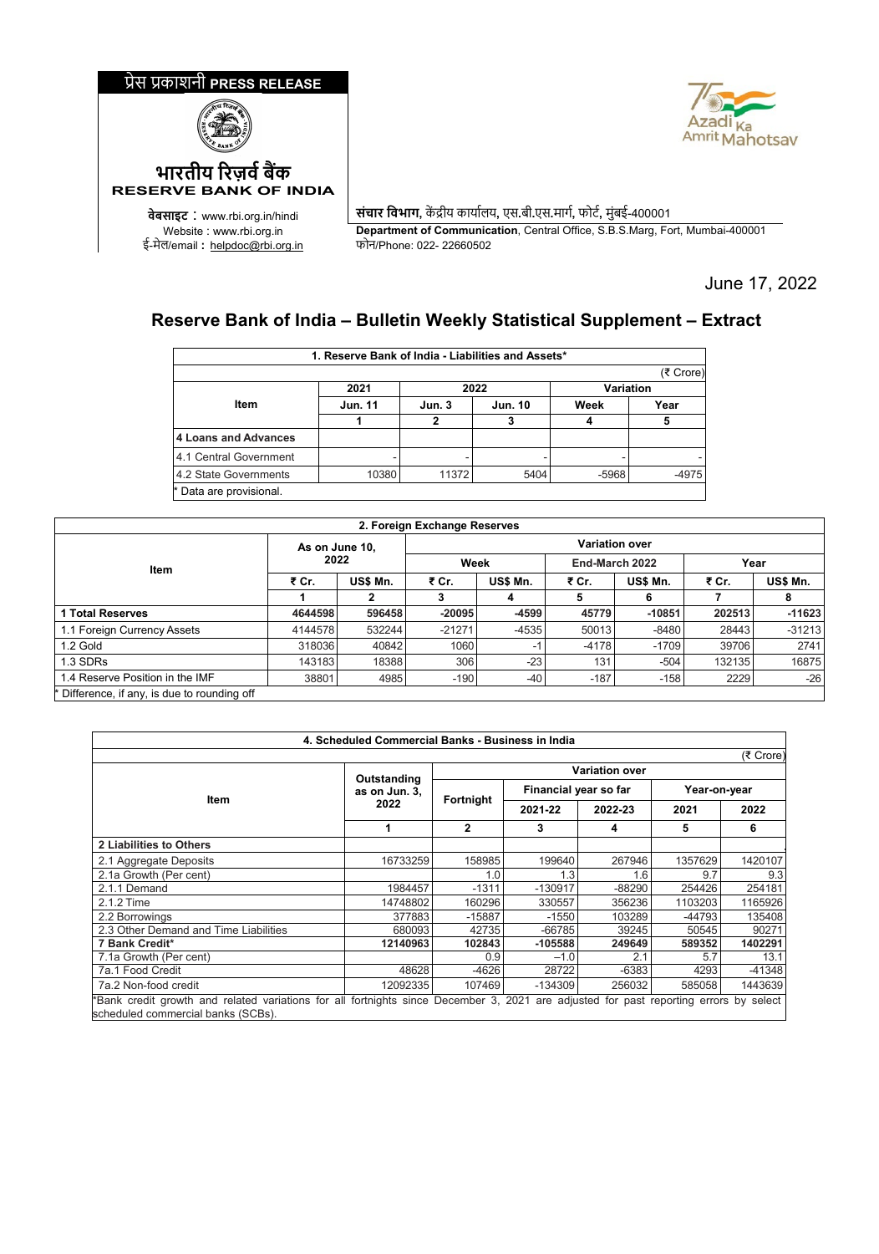



**वेबसाइट** : www.rbi.org.in/hindi **संचार िवभाग,** क� द्रीय काया�लय**,** एस**.**बी**.**एस**.**माग�**,** फोट�**,** मुंबई-400001 Department of Communication, Central Office, S.B.S.Marg, Fort, Mumbai-400001<br>फोन/Phone: 022- 22660502

June 17, 2022

## **Reserve Bank of India – Bulletin Weekly Statistical Supplement – Extract**

|                         | 1. Reserve Bank of India - Liabilities and Assets* |       |                |           |           |
|-------------------------|----------------------------------------------------|-------|----------------|-----------|-----------|
|                         |                                                    |       |                |           | (₹ Crore) |
|                         | 2021                                               | 2022  |                | Variation |           |
| Item                    | <b>Jun. 11</b>                                     | Jun.3 | <b>Jun. 10</b> | Week      | Year      |
|                         |                                                    |       |                |           |           |
| 4 Loans and Advances    |                                                    |       |                |           |           |
| 4.1 Central Government  |                                                    |       |                |           |           |
| 4.2 State Governments   | 10380                                              | 11372 | 5404           | $-5968$   | $-4975$   |
| * Data are provisional. |                                                    |       |                |           |           |

| 2. Foreign Exchange Reserves                 |                   |        |                       |          |                |          |        |          |  |  |
|----------------------------------------------|-------------------|--------|-----------------------|----------|----------------|----------|--------|----------|--|--|
| Item                                         | As on June 10,    |        | <b>Variation over</b> |          |                |          |        |          |  |  |
|                                              | 2022              |        | Week                  |          | End-March 2022 |          | Year   |          |  |  |
|                                              | US\$ Mn.<br>₹ Cr. |        | ₹ Cr.                 | US\$ Mn. | ₹ Cr.          | US\$ Mn. | ₹ Cr.  | US\$ Mn. |  |  |
|                                              |                   | 2      | 3                     | 4        | 5              | 6        |        | 8        |  |  |
| 1 Total Reserves                             | 4644598           | 596458 | $-20095$              | $-4599$  | 45779          | $-10851$ | 202513 | $-11623$ |  |  |
| 1.1 Foreign Currency Assets                  | 4144578           | 532244 | $-21271$              | $-4535$  | 50013          | $-8480$  | 28443  | $-31213$ |  |  |
| 1.2 Gold                                     | 318036            | 40842  | 1060                  | -1       | $-4178$        | $-1709$  | 39706  | 2741     |  |  |
| 1.3 SDRs                                     | 143183            | 18388  | 306                   | $-23$    | 131            | $-504$   | 132135 | 16875    |  |  |
| 1.4 Reserve Position in the IMF              | 38801             | 4985   | $-190$                | $-40$    | $-187$         | $-158$   | 2229   | $-26$    |  |  |
| * Difference, if any, is due to rounding off |                   |        |                       |          |                |          |        |          |  |  |

| 4. Scheduled Commercial Banks - Business in India                                                                          |               |                       |                       |         |                                                  |              |  |  |  |  |
|----------------------------------------------------------------------------------------------------------------------------|---------------|-----------------------|-----------------------|---------|--------------------------------------------------|--------------|--|--|--|--|
|                                                                                                                            |               |                       |                       |         |                                                  | (₹ Crore)    |  |  |  |  |
|                                                                                                                            | Outstanding   | <b>Variation over</b> |                       |         |                                                  |              |  |  |  |  |
|                                                                                                                            | as on Jun. 3. |                       | Financial year so far |         |                                                  | Year-on-year |  |  |  |  |
| <b>Item</b>                                                                                                                | 2022          | Fortnight             | 2021-22               | 2022-23 |                                                  | 2022         |  |  |  |  |
|                                                                                                                            |               | $\mathbf{2}$          | 3                     | 4       | 5                                                | 6            |  |  |  |  |
| 2 Liabilities to Others                                                                                                    |               |                       |                       |         |                                                  |              |  |  |  |  |
| 2.1 Aggregate Deposits                                                                                                     | 16733259      | 158985                | 199640                | 267946  | 1357629                                          | 1420107      |  |  |  |  |
| 2.1a Growth (Per cent)                                                                                                     |               | 1.0                   | 1.3                   | 1.6     | 9.7                                              | 9.3          |  |  |  |  |
| 2.1.1 Demand                                                                                                               | 1984457       | $-1311$               | $-130917$             | -88290  | 254426                                           | 254181       |  |  |  |  |
| 2.1.2 Time                                                                                                                 | 14748802      | 160296                | 330557                | 356236  | 1103203                                          | 1165926      |  |  |  |  |
| 2.2 Borrowings                                                                                                             | 377883        | $-15887$              | $-1550$               | 103289  | -44793                                           | 135408       |  |  |  |  |
| 2.3 Other Demand and Time Liabilities                                                                                      | 680093        | 42735                 | $-66785$              | 39245   | 50545                                            | 90271        |  |  |  |  |
| 7 Bank Credit*                                                                                                             | 12140963      | 102843                | $-105588$             | 249649  | 589352                                           | 1402291      |  |  |  |  |
| 7.1a Growth (Per cent)                                                                                                     |               | 0.9                   | $-1.0$                | 2.1     | 5.7                                              | 13.1         |  |  |  |  |
| 7a.1 Food Credit                                                                                                           | 48628         | $-4626$               | 28722                 | $-6383$ | 4293                                             | -41348       |  |  |  |  |
| 7a.2 Non-food credit                                                                                                       | 12092335      | 107469                | -134309               | 256032  | 585058                                           | 1443639      |  |  |  |  |
| *Bank credit growth and related variations for all fortnights since December 3, 2021<br>scheduled commercial banks (SCBs). |               |                       |                       |         | are adjusted for past reporting errors by select |              |  |  |  |  |